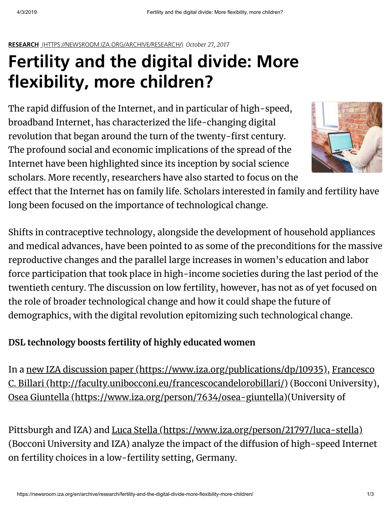#### **IZA Newsroom RESEARCH** [\(HTTPS://NEWSROOM.IZA.ORG/ARCHIVE/RESEARCH/\)](https://newsroom.iza.org/archive/research/) *October 27, 2017*

# **[Fertility](https://iza.org/) and the [digital](https://newsroom.iza.org/en/) divide: More flexibility, more children?**

The rapid diffusion of the Internet, and in particular of high-speed, broadband Internet, has characterized the life-changing digital revolution that began around the turn of the twenty-first century. The profound social and economic implications of the spread of the Internet have been highlighted since its inception by social science scholars. More recently, researchers have also started to focus on the



effect that the Internet has on family life. Scholars interested in family and fertility have long been focused on the importance of technological change.

Shifts in contraceptive technology, alongside the development of household appliances and medical advances, have been pointed to as some of the preconditions for the massive reproductive changes and the parallel large increases in women's education and labor force participation that took place in high-income societies during the last period of the twentieth century. The discussion on low fertility, however, has not as of yet focused on the role of broader technological change and how it could shape the future of demographics, with the digital revolution epitomizing such technological change.

# **DSL technology boosts fertility of highly educated women**

In a <u>new IZA discussion paper [\(https://www.iza.org/publications/dp/10935\)](https://www.iza.org/publications/dp/10935), Francesco</u> <u>C. Billari [\(http://faculty.unibocconi.eu/francescocandelorobillari/\)](http://faculty.unibocconi.eu/francescocandelorobillari/)</u> (Bocconi University), <u>Osea Giuntella [\(https://www.iza.org/person/7634/osea-giuntella\)](https://www.iza.org/person/7634/osea-giuntella)(</u>University of

Pittsburgh and IZA) and <u>Luca Stella [\(https://www.iza.org/person/21797/luca-stella\)](https://www.iza.org/person/21797/luca-stella)</u> (Bocconi University and IZA) analyze the impact of the diffusion of high-speed Internet on fertility choices in a low-fertility setting, Germany.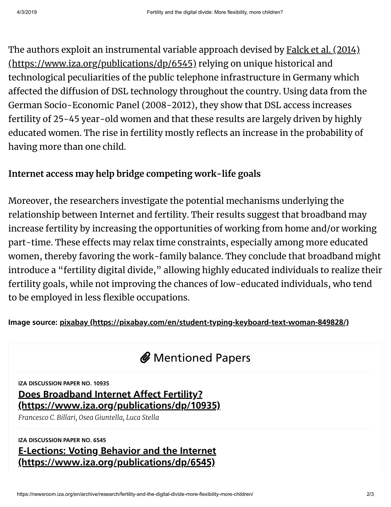The authors exploit an instrumental variable approach devised by <u>Falck et al. (2014)</u> <u>[\(https://www.iza.org/publications/dp/6545\)](https://www.iza.org/publications/dp/6545)</u> relying on unique historical and technological peculiarities of the public telephone infrastructure in Germany which affected the diffusion of DSL technology throughout the country. Using data from the German Socio-Economic Panel (2008-2012), they show that DSL access increases fertility of 25-45 year-old women and that these results are largely driven by highly educated women. The rise in fertility mostly reflects an increase in the probability of having more than one child.

# **Internet access may help bridge competing work-life goals**

Moreover, the researchers investigate the potential mechanisms underlying the relationship between Internet and fertility. Their results suggest that broadband may increase fertility by increasing the opportunities of working from home and/or working part-time. These effects may relax time constraints, especially among more educated women, thereby favoring the work-family balance. They conclude that broadband might introduce a "fertility digital divide, " allowing highly educated individuals to realize their fertility goals, while not improving the chances of low-educated individuals, who tend to be employed in less flexible occupations.

## **Image source: pixabay [\(https://pixabay.com/en/student-typing-keyboard-text-woman-849828/\)](https://pixabay.com/en/student-typing-keyboard-text-woman-849828/)**

# *@* Mentioned Papers

**IZA DISCUSSION PAPER NO. 10935**

# **Does Broadband Internet Affect Fertility? [\(https://www.iza.org/publications/dp/10935\)](https://www.iza.org/publications/dp/10935)**

*Francesco C. Billari, Osea Giuntella, Luca Stella*

## **IZA DISCUSSION PAPER NO. 6545 E-Lections: Voting Behavior and the Internet [\(https://www.iza.org/publications/dp/6545\)](https://www.iza.org/publications/dp/6545)**